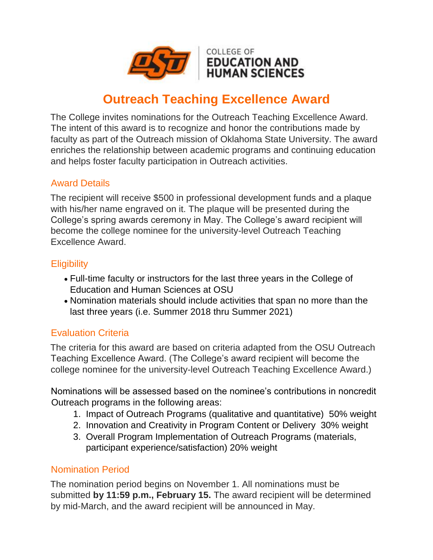

# **Outreach Teaching Excellence Award**

The College invites nominations for the Outreach Teaching Excellence Award. The intent of this award is to recognize and honor the contributions made by faculty as part of the Outreach mission of Oklahoma State University. The award enriches the relationship between academic programs and continuing education and helps foster faculty participation in Outreach activities.

### Award Details

The recipient will receive \$500 in professional development funds and a plaque with his/her name engraved on it. The plaque will be presented during the College's spring awards ceremony in May. The College's award recipient will become the college nominee for the university-level Outreach Teaching Excellence Award.

## **Eligibility**

- Full-time faculty or instructors for the last three years in the College of Education and Human Sciences at OSU
- Nomination materials should include activities that span no more than the last three years (i.e. Summer 2018 thru Summer 2021)

# Evaluation Criteria

The criteria for this award are based on criteria adapted from the OSU Outreach Teaching Excellence Award. (The College's award recipient will become the college nominee for the university-level Outreach Teaching Excellence Award.)

Nominations will be assessed based on the nominee's contributions in noncredit Outreach programs in the following areas:

- 1. Impact of Outreach Programs (qualitative and quantitative) 50% weight
- 2. Innovation and Creativity in Program Content or Delivery 30% weight
- 3. Overall Program Implementation of Outreach Programs (materials, participant experience/satisfaction) 20% weight

### Nomination Period

The nomination period begins on November 1. All nominations must be submitted **by 11:59 p.m., February 15.** The award recipient will be determined by mid-March, and the award recipient will be announced in May.